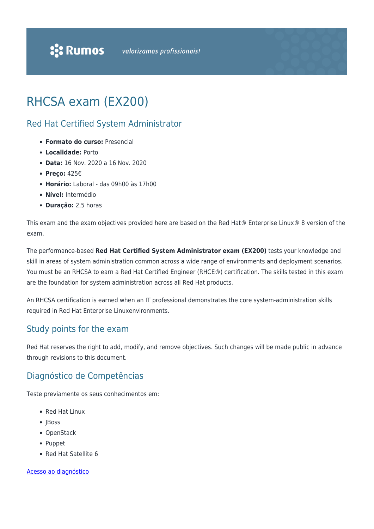# RHCSA exam (EX200)

#### Red Hat Certified System Administrator

- **Formato do curso:** Presencial
- **Localidade:** Porto
- **Data:** 16 Nov. 2020 a 16 Nov. 2020
- **Preço:** 425€
- **Horário:** Laboral das 09h00 às 17h00
- **Nível:** Intermédio
- **Duração:** 2,5 horas

This exam and the exam objectives provided here are based on the Red Hat® Enterprise Linux® 8 version of the exam.

The performance-based **Red Hat Certified System Administrator exam (EX200)** tests your knowledge and skill in areas of system administration common across a wide range of environments and deployment scenarios. You must be an RHCSA to earn a Red Hat Certified Engineer (RHCE®) certification. The skills tested in this exam are the foundation for system administration across all Red Hat products.

An RHCSA certification is earned when an IT professional demonstrates the core system-administration skills required in Red Hat Enterprise Linuxenvironments.

#### Study points for the exam

Red Hat reserves the right to add, modify, and remove objectives. Such changes will be made public in advance through revisions to this document.

### Diagnóstico de Competências

Teste previamente os seus conhecimentos em:

- Red Hat Linux
- JBoss
- OpenStack
- Puppet
- Red Hat Satellite 6

#### [Acesso ao diagnóstico](https://www.redhat.com/rhtapps/assessment/?partner=rumos)